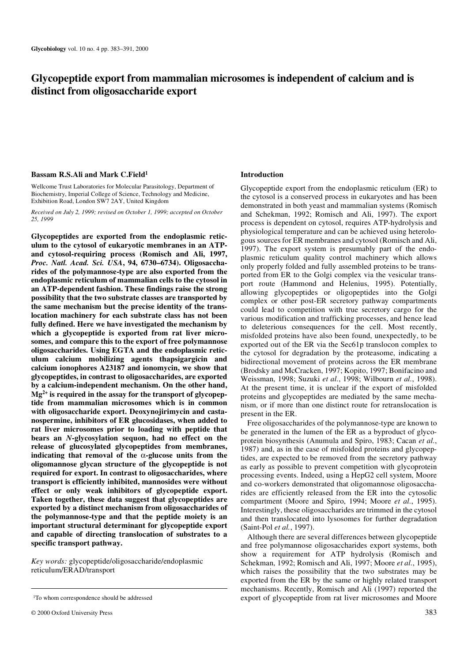# **Glycopeptide export from mammalian microsomes is independent of calcium and is distinct from oligosaccharide export**

#### **Bassam R.S.Ali and Mark C.Field1**

Wellcome Trust Laboratories for Molecular Parasitology, Department of Biochemistry, Imperial College of Science, Technology and Medicine, Exhibition Road, London SW7 2AY, United Kingdom

*Received on July 2, 1999; revised on October 1, 1999; accepted on October 25, 1999*

**Glycopeptides are exported from the endoplasmic reticulum to the cytosol of eukaryotic membranes in an ATPand cytosol-requiring process (Romisch and Ali, 1997,** *Proc. Natl. Acad. Sci. USA***, 94, 6730–6734). Oligosaccharides of the polymannose-type are also exported from the endoplasmic reticulum of mammalian cells to the cytosol in an ATP-dependent fashion. These findings raise the strong possibility that the two substrate classes are transported by the same mechanism but the precise identity of the translocation machinery for each substrate class has not been fully defined. Here we have investigated the mechanism by which a glycopeptide is exported from rat liver microsomes, and compare this to the export of free polymannose oligosaccharides. Using EGTA and the endoplasmic reticulum calcium mobilizing agents thapsigargicin and calcium ionophores A23187 and ionomycin, we show that glycopeptides, in contrast to oligosaccharides, are exported by a calcium-independent mechanism. On the other hand, Mg2+ is required in the assay for the transport of glycopeptide from mammalian microsomes which is in common with oligosaccharide export. Deoxynojirimycin and castanospermine, inhibitors of ER glucosidases, when added to rat liver microsomes prior to loading with peptide that bears an** *N***-glycosylation sequon, had no effect on the release of glucosylated glycopeptides from membranes, indicating that removal of the** α**-glucose units from the oligomannose glycan structure of the glycopeptide is not required for export. In contrast to oligosaccharides, where transport is efficiently inhibited, mannosides were without effect or only weak inhibitors of glycopeptide export. Taken together, these data suggest that glycopeptides are exported by a distinct mechanism from oligosaccharides of the polymannose-type and that the peptide moiety is an important structural determinant for glycopeptide export and capable of directing translocation of substrates to a specific transport pathway.**

*Key words:* glycopeptide/oligosaccharide/endoplasmic reticulum/ERAD/transport

#### **Introduction**

Glycopeptide export from the endoplasmic reticulum (ER) to the cytosol is a conserved process in eukaryotes and has been demonstrated in both yeast and mammalian systems (Romisch and Schekman, 1992; Romisch and Ali, 1997). The export process is dependent on cytosol, requires ATP-hydrolysis and physiological temperature and can be achieved using heterologous sources for ER membranes and cytosol (Romisch and Ali, 1997). The export system is presumably part of the endoplasmic reticulum quality control machinery which allows only properly folded and fully assembled proteins to be transported from ER to the Golgi complex via the vesicular transport route (Hammond and Helenius, 1995). Potentially, allowing glycopeptides or oligopeptides into the Golgi complex or other post-ER secretory pathway compartments could lead to competition with true secretory cargo for the various modification and trafficking processes, and hence lead to deleterious consequences for the cell. Most recently, misfolded proteins have also been found, unexpectedly, to be exported out of the ER via the Sec61p translocon complex to the cytosol for degradation by the proteasome, indicating a bidirectional movement of proteins across the ER membrane (Brodsky and McCracken, 1997; Kopito, 1997; Bonifacino and Weissman, 1998; Suzuki *et al.*, 1998; Wilbourn *et al.*, 1998). At the present time, it is unclear if the export of misfolded proteins and glycopeptides are mediated by the same mechanism, or if more than one distinct route for retranslocation is present in the ER.

Free oligosaccharides of the polymannose-type are known to be generated in the lumen of the ER as a byproduct of glycoprotein biosynthesis (Anumula and Spiro, 1983; Cacan *et al.*, 1987) and, as in the case of misfolded proteins and glycopeptides, are expected to be removed from the secretory pathway as early as possible to prevent competition with glycoprotein processing events. Indeed, using a HepG2 cell system, Moore and co-workers demonstrated that oligomannose oligosaccharides are efficiently released from the ER into the cytosolic compartment (Moore and Spiro, 1994; Moore *et al.*, 1995). Interestingly, these oligosaccharides are trimmed in the cytosol and then translocated into lysosomes for further degradation (Saint-Pol *et al.*, 1997).

Although there are several differences between glycopeptide and free polymannose oligosaccharides export systems, both show a requirement for ATP hydrolysis (Romisch and Schekman, 1992; Romisch and Ali, 1997; Moore *et al.*, 1995), which raises the possibility that the two substrates may be exported from the ER by the same or highly related transport mechanisms. Recently, Romisch and Ali (1997) reported the <sup>1</sup>To whom correspondence should be addressed export of glycopeptide from rat liver microsomes and Moore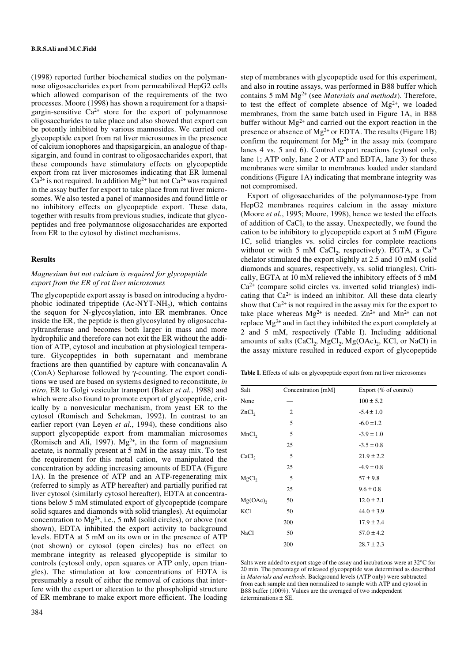(1998) reported further biochemical studies on the polymannose oligosaccharides export from permeabilized HepG2 cells which allowed comparison of the requirements of the two processes. Moore (1998) has shown a requirement for a thapsigargin-sensitive  $Ca^{2+}$  store for the export of polymannose oligosaccharides to take place and also showed that export can be potently inhibited by various mannosides. We carried out glycopeptide export from rat liver microsomes in the presence of calcium ionophores and thapsigargicin, an analogue of thapsigargin, and found in contrast to oligosaccharides export, that these compounds have stimulatory effects on glycopeptide export from rat liver microsomes indicating that ER lumenal  $Ca<sup>2+</sup>$  is not required. In addition Mg<sup>2+</sup> but not  $Ca<sup>2+</sup>$  was required in the assay buffer for export to take place from rat liver microsomes. We also tested a panel of mannosides and found little or no inhibitory effects on glycopeptide export. These data, together with results from previous studies, indicate that glycopeptides and free polymannose oligosaccharides are exported from ER to the cytosol by distinct mechanisms.

#### **Results**

## *Magnesium but not calcium is required for glycopeptide export from the ER of rat liver microsomes*

The glycopeptide export assay is based on introducing a hydrophobic iodinated tripeptide  $(Ac-NYT-NH<sub>2</sub>)$ , which contains the sequon for N-glycosylation, into ER membranes. Once inside the ER, the peptide is then glycosylated by oligosaccharyltransferase and becomes both larger in mass and more hydrophilic and therefore can not exit the ER without the addition of ATP, cytosol and incubation at physiological temperature. Glycopeptides in both supernatant and membrane fractions are then quantified by capture with concanavalin A (ConA) Sepharose followed by γ-counting. The export conditions we used are based on systems designed to reconstitute, *in vitro*, ER to Golgi vesicular transport (Baker *et al.*, 1988) and which were also found to promote export of glycopeptide, critically by a nonvesicular mechanism, from yeast ER to the cytosol (Romisch and Schekman, 1992). In contrast to an earlier report (van Leyen *et al.*, 1994), these conditions also support glycopeptide export from mammalian microsomes (Romisch and Ali, 1997).  $Mg^{2+}$ , in the form of magnesium acetate, is normally present at 5 mM in the assay mix. To test the requirement for this metal cation, we manipulated the concentration by adding increasing amounts of EDTA (Figure 1A). In the presence of ATP and an ATP-regenerating mix (referred to simply as ATP hereafter) and partially purified rat liver cytosol (similarly cytosol hereafter), EDTA at concentrations below 5 mM stimulated export of glycopeptide (compare solid squares and diamonds with solid triangles). At equimolar concentration to  $Mg^{2+}$ , i.e., 5 mM (solid circles), or above (not shown), EDTA inhibited the export activity to background levels. EDTA at 5 mM on its own or in the presence of ATP (not shown) or cytosol (open circles) has no effect on membrane integrity as released glycopeptide is similar to controls (cytosol only, open squares or ATP only, open triangles). The stimulation at low concentrations of EDTA is presumably a result of either the removal of cations that interfere with the export or alteration to the phospholipid structure of ER membrane to make export more efficient. The loading step of membranes with glycopeptide used for this experiment, and also in routine assays, was performed in B88 buffer which contains 5 mM Mg2+ (see *Materials and methods*). Therefore, to test the effect of complete absence of  $Mg^{2+}$ , we loaded membranes, from the same batch used in Figure 1A, in B88 buffer without  $Mg^{2+}$  and carried out the export reaction in the presence or absence of  $Mg^{2+}$  or EDTA. The results (Figure 1B) confirm the requirement for  $Mg^{2+}$  in the assay mix (compare lanes 4 vs. 5 and 6). Control export reactions (cytosol only, lane 1; ATP only, lane 2 or ATP and EDTA, lane 3) for these membranes were similar to membranes loaded under standard conditions (Figure 1A) indicating that membrane integrity was not compromised.

Export of oligosaccharides of the polymannose-type from HepG2 membranes requires calcium in the assay mixture (Moore *et al.*, 1995; Moore, 1998), hence we tested the effects of addition of CaCl<sub>2</sub> to the assay. Unexpectedly, we found the cation to be inhibitory to glycopeptide export at 5 mM (Figure 1C, solid triangles vs. solid circles for complete reactions without or with 5 mM CaCl<sub>2</sub>, respectively). EGTA, a Ca<sup>2+</sup> chelator stimulated the export slightly at 2.5 and 10 mM (solid diamonds and squares, respectively, vs. solid triangles). Critically, EGTA at 10 mM relieved the inhibitory effects of 5 mM  $Ca<sup>2+</sup>$  (compare solid circles vs. inverted solid triangles) indicating that  $Ca^{2+}$  is indeed an inhibitor. All these data clearly show that  $Ca^{2+}$  is not required in the assay mix for the export to take place whereas  $Mg^{2+}$  is needed.  $Zn^{2+}$  and  $Mn^{2+}$  can not replace Mg2+ and in fact they inhibited the export completely at 2 and 5 mM, respectively (Table I). Including additional amounts of salts (CaCl<sub>2</sub>, MgCl<sub>2</sub>, Mg(OAc)<sub>2</sub>, KCl, or NaCl) in the assay mixture resulted in reduced export of glycopeptide

**Table I.** Effects of salts on glycopeptide export from rat liver microsomes

| Salt              | Concentration [mM] | Export (% of control) |
|-------------------|--------------------|-----------------------|
| None              |                    | $100 \pm 5.2$         |
| ZnCl <sub>2</sub> | $\overline{c}$     | $-5.4 \pm 1.0$        |
|                   | 5                  | $-6.0 \pm 1.2$        |
| MnCl <sub>2</sub> | 5                  | $-3.9 \pm 1.0$        |
|                   | 25                 | $-3.5 \pm 0.8$        |
| CaCl <sub>2</sub> | 5                  | $21.9 \pm 2.2$        |
|                   | 25                 | $-4.9 \pm 0.8$        |
| MgCl <sub>2</sub> | 5                  | $57 \pm 9.8$          |
|                   | 25                 | $9.6 \pm 0.8$         |
| Mg(OAc)           | 50                 | $12.0 \pm 2.1$        |
| KCl               | 50                 | $44.0 \pm 3.9$        |
|                   | 200                | $17.9 \pm 2.4$        |
| NaCl              | 50                 | $57.0 \pm 4.2$        |
|                   | 200                | $28.7 \pm 2.3$        |

Salts were added to export stage of the assay and incubations were at 32°C for 20 min. The percentage of released glycopeptide was determined as described in *Materials and methods*. Background levels (ATP only) were subtracted from each sample and then normalized to sample with ATP and cytosol in B88 buffer (100%). Values are the averaged of two independent determinations ± SE.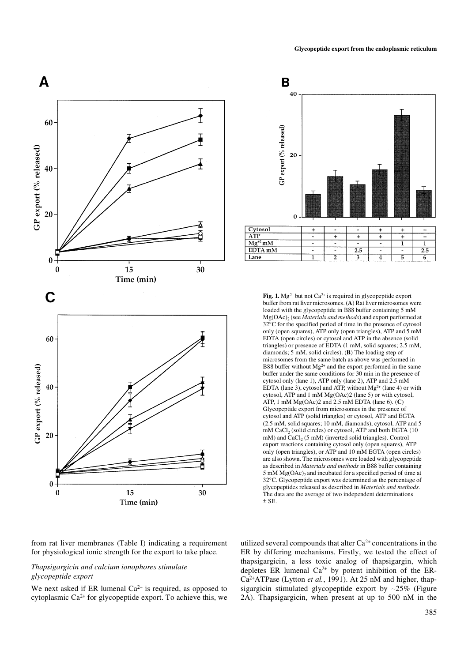

from rat liver membranes (Table I) indicating a requirement for physiological ionic strength for the export to take place.

# *Thapsigargicin and calcium ionophores stimulate glycopeptide export*

We next asked if ER lumenal  $Ca^{2+}$  is required, as opposed to cytoplasmic  $Ca^{2+}$  for glycopeptide export. To achieve this, we



**Fig. 1.** Mg<sup>2+</sup> but not  $Ca^{2+}$  is required in glycopeptide export buffer from rat liver microsomes. (**A**) Rat liver microsomes were loaded with the glycopeptide in B88 buffer containing 5 mM Mg(OAc)2 (see *Materials and methods*) and export performed at 32°C for the specified period of time in the presence of cytosol only (open squares), ATP only (open triangles), ATP and 5 mM EDTA (open circles) or cytosol and ATP in the absence (solid triangles) or presence of EDTA (1 mM, solid squares; 2.5 mM, diamonds; 5 mM, solid circles). (**B**) The loading step of microsomes from the same batch as above was performed in B88 buffer without  $Mg^{2+}$  and the export performed in the same buffer under the same conditions for 30 min in the presence of cytosol only (lane 1), ATP only (lane 2), ATP and 2.5 mM EDTA (lane 3), cytosol and ATP, without  $Mg^{2+}$  (lane 4) or with cytosol, ATP and 1 mM Mg(OAc)2 (lane 5) or with cytosol, ATP, 1 mM Mg(OAc)2 and 2.5 mM EDTA (lane 6). (**C**) Glycopeptide export from microsomes in the presence of cytosol and ATP (solid triangles) or cytosol, ATP and EGTA (2.5 mM, solid squares; 10 mM, diamonds), cytosol, ATP and 5  $mM$  CaCl<sub>2</sub> (solid circles) or cytosol, ATP and both EGTA (10) mM) and CaCl<sub>2</sub> (5 mM) (inverted solid triangles). Control export reactions containing cytosol only (open squares), ATP only (open triangles), or ATP and 10 mM EGTA (open circles) are also shown. The microsomes were loaded with glycopeptide as described in *Materials and methods* in B88 buffer containing 5 mM  $Mg(OAc)$ <sub>2</sub> and incubated for a specified period of time at 32°C. Glycopeptide export was determined as the percentage of glycopeptides released as described in *Materials and methods*. The data are the average of two independent determinations  $±$  SE.

utilized several compounds that alter  $Ca^{2+}$  concentrations in the ER by differing mechanisms. Firstly, we tested the effect of thapsigargicin, a less toxic analog of thapsigargin, which depletes ER lumenal  $Ca^{2+}$  by potent inhibition of the ER-Ca2+ATPase (Lytton *et al.*, 1991). At 25 nM and higher, thapsigargicin stimulated glycopeptide export by ∼25% (Figure 2A). Thapsigargicin, when present at up to 500 nM in the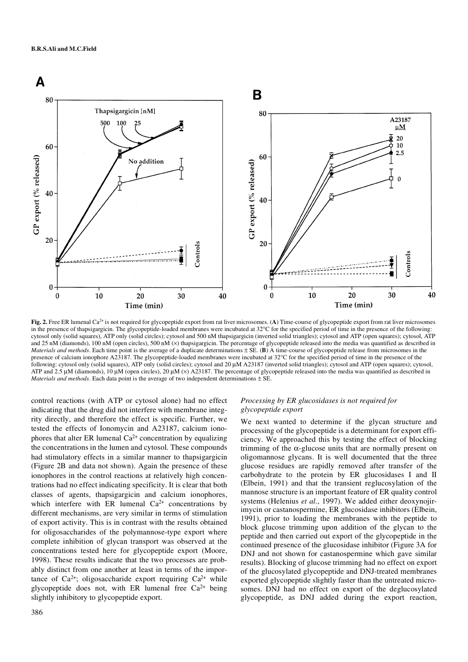

Fig. 2. Free ER lumenal Ca<sup>2+</sup> is not required for glycopeptide export from rat liver microsomes. (A) Time-course of glycopeptide export from rat liver microsomes in the presence of thapsigargicin. The glycopeptide-loaded membranes were incubated at 32°C for the specified period of time in the presence of the following: cytosol only (solid squares), ATP only (solid circles); cytosol and 500 nM thapsigargicin (inverted solid triangles); cytosol and ATP (open squares); cytosol, ATP and  $25 \text{ nM}$  (diamonds), 100 nM (open circles), 500 nM  $(\times)$  thapsigargicin. The percentage of glycopeptide released into the media was quantified as described in *Materials and methods*. Each time point is the average of a duplicate determinations ± SE. (**B**) A time-course of glycopeptide release from microsomes in the presence of calcium ionophore A23187. The glycopeptide-loaded membranes were incubated at 32°C for the specified period of time in the presence of the following: cytosol only (solid squares), ATP only (solid circles); cytosol and 20 µM A23187 (inverted solid triangles); cytosol and ATP (open squares); cytosol, ATP and 2.5  $\mu$ M (diamonds), 10  $\mu$ M (open circles), 20  $\mu$ M ( $\times$ ) A23187. The percentage of glycopeptide released into the media was quantified as described in *Materials and methods*. Each data point is the average of two independent determinations ± SE.

control reactions (with ATP or cytosol alone) had no effect indicating that the drug did not interfere with membrane integrity directly, and therefore the effect is specific. Further, we tested the effects of Ionomycin and A23187, calcium ionophores that alter ER lumenal  $Ca^{2+}$  concentration by equalizing the concentrations in the lumen and cytosol. These compounds had stimulatory effects in a similar manner to thapsigargicin (Figure 2B and data not shown). Again the presence of these ionophores in the control reactions at relatively high concentrations had no effect indicating specificity. It is clear that both classes of agents, thapsigargicin and calcium ionophores, which interfere with ER lumenal  $Ca^{2+}$  concentrations by different mechanisms, are very similar in terms of stimulation of export activity. This is in contrast with the results obtained for oligosaccharides of the polymannose-type export where complete inhibition of glycan transport was observed at the concentrations tested here for glycopeptide export (Moore, 1998). These results indicate that the two processes are probably distinct from one another at least in terms of the importance of  $Ca^{2+}$ ; oligosaccharide export requiring  $Ca^{2+}$  while glycopeptide does not, with ER lumenal free  $Ca^{2+}$  being slightly inhibitory to glycopeptide export.

## *Processing by ER glucosidases is not required for glycopeptide export*

We next wanted to determine if the glycan structure and processing of the glycopeptide is a determinant for export efficiency. We approached this by testing the effect of blocking trimming of the  $\alpha$ -glucose units that are normally present on oligomannose glycans. It is well documented that the three glucose residues are rapidly removed after transfer of the carbohydrate to the protein by ER glucosidases I and II (Elbein, 1991) and that the transient reglucosylation of the mannose structure is an important feature of ER quality control systems (Helenius *et al.*, 1997). We added either deoxynojirimycin or castanospermine, ER glucosidase inhibitors (Elbein, 1991), prior to loading the membranes with the peptide to block glucose trimming upon addition of the glycan to the peptide and then carried out export of the glycopeptide in the continued presence of the glucosidase inhibitor (Figure 3A for DNJ and not shown for castanospermine which gave similar results). Blocking of glucose trimming had no effect on export of the glucosylated glycopeptide and DNJ-treated membranes exported glycopeptide slightly faster than the untreated microsomes. DNJ had no effect on export of the deglucosylated glycopeptide, as DNJ added during the export reaction,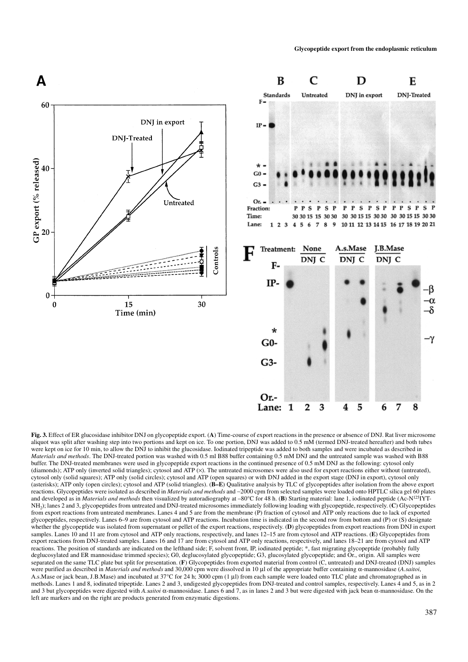

**Fig. 3.** Effect of ER glucosidase inhibitor DNJ on glycopeptide export. (**A**) Time-course of export reactions in the presence or absence of DNJ. Rat liver microsome aliquot was split after washing step into two portions and kept on ice. To one portion, DNJ was added to 0.5 mM (termed DNJ-treated hereafter) and both tubes were kept on ice for 10 min, to allow the DNJ to inhibit the glucosidase. Iodinated tripeptide was added to both samples and were incubated as described in *Materials and methods*. The DNJ-treated portion was washed with 0.5 ml B88 buffer containing 0.5 mM DNJ and the untreated sample was washed with B88 buffer. The DNJ-treated membranes were used in glycopeptide export reactions in the continued presence of 0.5 mM DNJ as the following: cytosol only (diamonds); ATP only (inverted solid triangles); cytosol and ATP  $(x)$ . The untreated microsomes were also used for export reactions either without (untreated), cytosol only (solid squares); ATP only (solid circles); cytosol and ATP (open squares) or with DNJ added in the export stage (DNJ in export), cytosol only (asterisks); ATP only (open circles); cytosol and ATP (solid triangles). (**B–E**) Qualitative analysis by TLC of glycopeptides after isolation from the above export reactions. Glycopeptides were isolated as described in *Materials and methods* and ∼2000 cpm from selected samples were loaded onto HPTLC silica gel 60 plates and developed as in *Materials and methods* then visualized by autoradiography at –80°C for 48 h. (**B**) Starting material: lane 1, iodinated peptide (Ac-N<sup>125</sup>IYT-NH2); lanes 2 and 3, glycopeptides from untreated and DNJ-treated microsomes immediately following loading with glycopeptide, respectively. (**C**) Glycopeptides from export reactions from untreated membranes. Lanes 4 and 5 are from the membrane (P) fraction of cytosol and ATP only reactions due to lack of exported glycopeptides, respectively. Lanes 6–9 are from cytosol and ATP reactions. Incubation time is indicated in the second row from bottom and (P) or (S) designate whether the glycopeptide was isolated from supernatant or pellet of the export reactions, respectively. (**D**) glycopeptides from export reactions from DNJ in export samples. Lanes 10 and 11 are from cytosol and ATP only reactions, respectively, and lanes 12–15 are from cytosol and ATP reactions. (**E**) Glycopeptides from export reactions from DNJ-treated samples. Lanes 16 and 17 are from cytosol and ATP only reactions, respectively, and lanes 18–21 are from cytosol and ATP reactions. The position of standards are indicated on the lefthand side; F, solvent front, IP, iodinated peptide; \*, fast migrating glycopeptide (probably fully deglucosylated and ER mannosidase trimmed species); G0, deglucosylated glycopeptide; G3, glucosylated glycopeptide; and Or., origin. All samples were separated on the same TLC plate but split for presentation. (**F**) Glycopeptides from exported material from control (C, untreated) and DNJ-treated (DNJ) samples were purified as described in *Materials and methods* and 30,000 cpm were dissolved in 10 µl of the appropriate buffer containing α-mannosidase (*A.saitoi*, A.s.Mase or jack bean, J.B.Mase) and incubated at 37°C for 24 h; 3000 cpm (1 µl) from each sample were loaded onto TLC plate and chromatographed as in methods. Lanes 1 and 8, iodinated tripeptide. Lanes 2 and 3, undigested glycopeptides from DNJ-treated and control samples, respectively. Lanes 4 and 5, as in 2 and 3 but glycopeptides were digested with *A.saitoi* α-mannosidase. Lanes 6 and 7, as in lanes 2 and 3 but were digested with jack bean α-mannosidase. On the left are markers and on the right are products generated from enzymatic digestions.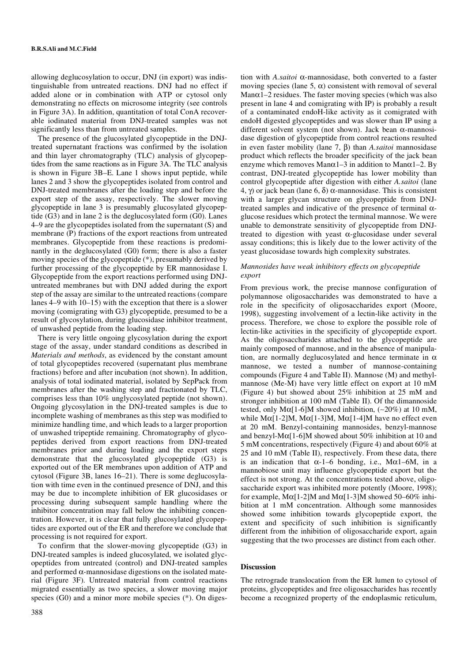allowing deglucosylation to occur, DNJ (in export) was indistinguishable from untreated reactions. DNJ had no effect if added alone or in combination with ATP or cytosol only demonstrating no effects on microsome integrity (see controls in Figure 3A). In addition, quantitation of total ConA recoverable iodinated material from DNJ-treated samples was not significantly less than from untreated samples.

The presence of the glucosylated glycopeptide in the DNJtreated supernatant fractions was confirmed by the isolation and thin layer chromatography (TLC) analysis of glycopeptides from the same reactions as in Figure 3A. The TLC analysis is shown in Figure 3B–E. Lane 1 shows input peptide, while lanes 2 and 3 show the glycopeptides isolated from control and DNJ-treated membranes after the loading step and before the export step of the assay, respectively. The slower moving glycopeptide in lane 3 is presumably glucosylated glycopeptide (G3) and in lane 2 is the deglucosylated form (G0). Lanes 4–9 are the glycopeptides isolated from the supernatant (S) and membrane (P) fractions of the export reactions from untreated membranes. Glycopeptide from these reactions is predominantly in the deglucosylated (G0) form; there is also a faster moving species of the glycopeptide (\*), presumably derived by further processing of the glycopeptide by ER mannosidase I. Glycopeptide from the export reactions performed using DNJuntreated membranes but with DNJ added during the export step of the assay are similar to the untreated reactions (compare lanes 4–9 with 10–15) with the exception that there is a slower moving (comigrating with G3) glycopeptide, presumed to be a result of glycosylation, during glucosidase inhibitor treatment, of unwashed peptide from the loading step.

There is very little ongoing glycosylation during the export stage of the assay, under standard conditions as described in *Materials and methods*, as evidenced by the constant amount of total glycopeptides recovered (supernatant plus membrane fractions) before and after incubation (not shown). In addition, analysis of total iodinated material, isolated by SepPack from membranes after the washing step and fractionated by TLC, comprises less than 10% unglycosylated peptide (not shown). Ongoing glycosylation in the DNJ-treated samples is due to incomplete washing of membranes as this step was modified to minimize handling time, and which leads to a larger proportion of unwashed tripeptide remaining. Chromatography of glycopeptides derived from export reactions from DNJ-treated membranes prior and during loading and the export steps demonstrate that the glucosylated glycopeptide (G3) is exported out of the ER membranes upon addition of ATP and cytosol (Figure 3B, lanes 16–21). There is some deglucosylation with time even in the continued presence of DNJ, and this may be due to incomplete inhibition of ER glucosidases or processing during subsequent sample handling where the inhibitor concentration may fall below the inhibiting concentration. However, it is clear that fully glucosylated glycopeptides are exported out of the ER and therefore we conclude that processing is not required for export.

To confirm that the slower-moving glycopeptide (G3) in DNJ-treated samples is indeed glucosylated, we isolated glycopeptides from untreated (control) and DNJ-treated samples and performed  $\alpha$ -mannosidase digestions on the isolated material (Figure 3F). Untreated material from control reactions migrated essentially as two species, a slower moving major species (G0) and a minor more mobile species (\*). On diges-

tion with *A.saitoi* α-mannosidase, both converted to a faster moving species (lane 5,  $\alpha$ ) consistent with removal of several Man $\alpha$ 1–2 residues. The faster moving species (which was also present in lane 4 and comigrating with IP) is probably a result of a contaminated endoH-like activity as it comigrated with endoH digested glycopeptides and was slower than IP using a different solvent system (not shown). Jack bean α-mannosidase digestion of glycopeptide from control reactions resulted in even faster mobility (lane 7, β) than *A.saitoi* mannosidase product which reflects the broader specificity of the jack bean enzyme which removes Man $\alpha$ 1–3 in addition to Man $\alpha$ 1–2. By contrast, DNJ-treated glycopeptide has lower mobility than control glycopeptide after digestion with either *A.saitoi* (lane 4, γ) or jack bean (lane 6, δ) α-mannosidase. This is consistent with a larger glycan structure on glycopeptide from DNJtreated samples and indicative of the presence of terminal  $\alpha$ glucose residues which protect the terminal mannose. We were unable to demonstrate sensitivity of glycopeptide from DNJtreated to digestion with yeast α-glucosidase under several assay conditions; this is likely due to the lower activity of the yeast glucosidase towards high complexity substrates.

# *Mannosides have weak inhibitory effects on glycopeptide export*

From previous work, the precise mannose configuration of polymannose oligosaccharides was demonstrated to have a role in the specificity of oligosaccharides export (Moore, 1998), suggesting involvement of a lectin-like activity in the process. Therefore, we chose to explore the possible role of lectin-like activities in the specificity of glycopeptide export. As the oligosaccharides attached to the glycopeptide are mainly composed of mannose, and in the absence of manipulation, are normally deglucosylated and hence terminate in  $\alpha$ mannose, we tested a number of mannose-containing compounds (Figure 4 and Table II). Mannose (M) and methylmannose (Me-M) have very little effect on export at 10 mM (Figure 4) but showed about 25% inhibition at 25 mM and stronger inhibition at 100 mM (Table II). Of the dimannoside tested, only Mα[1-6]M showed inhibition,  $\left($ ~20%) at 10 mM, while  $M\alpha$ [1-2]M, M $\alpha$ [1-3]M, M $\alpha$ [1-4]M have no effect even at 20 mM. Benzyl-containing mannosides, benzyl-mannose and benzyl-Mα[1-6]M showed about 50% inhibition at 10 and 5 mM concentrations, respectively (Figure 4) and about 60% at 25 and 10 mM (Table II), respectively. From these data, there is an indication that  $\alpha$ -1–6 bonding, i.e., M $\alpha$ 1–6M, in a mannobiose unit may influence glycopeptide export but the effect is not strong. At the concentrations tested above, oligosaccharide export was inhibited more potently (Moore, 1998); for example,  $M\alpha$ [1-2]M and  $M\alpha$ [1-3]M showed 50–60% inhibition at 1 mM concentration. Although some mannosides showed some inhibition towards glycopeptide export, the extent and specificity of such inhibition is significantly different from the inhibition of oligosaccharide export, again suggesting that the two processes are distinct from each other.

# **Discussion**

The retrograde translocation from the ER lumen to cytosol of proteins, glycopeptides and free oligosaccharides has recently become a recognized property of the endoplasmic reticulum,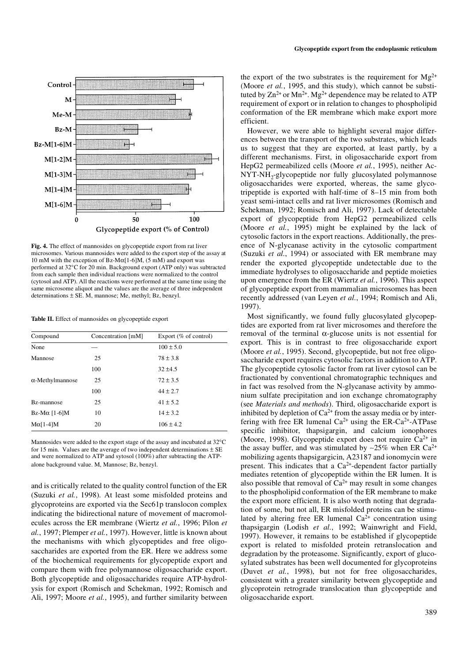

**Fig. 4.** The effect of mannosides on glycopeptide export from rat liver microsomes. Various mannosides were added to the export step of the assay at 10 mM with the exception of Bz-M $\alpha$ [1-6]M, (5 mM) and export was performed at 32°C for 20 min. Background export (ATP only) was subtracted from each sample then individual reactions were normalized to the control (cytosol and ATP). All the reactions were performed at the same time using the same microsome aliquot and the values are the average of three independent determinations  $\pm$  SE. M, mannose; Me, methyl; Bz, benzyl.

**Table II.** Effect of mannosides on glycopeptide export

| Compound                | Concentration [mM] | Export $(\%$ of control) |
|-------------------------|--------------------|--------------------------|
| None                    |                    | $100 \pm 5.0$            |
| Mannose                 | 25                 | $78 \pm 3.8$             |
|                         | 100                | $32 + 4.5$               |
| $\alpha$ -Methylmannose | 25                 | $72 \pm 3.5$             |
|                         | 100                | $44 \pm 2.7$             |
| Bz-mannose              | 25                 | $41 \pm 5.2$             |
| $Bz-M\alpha$ [1-6]M     | 10                 | $14 \pm 3.2$             |
| $M\alpha$ [1-4] $M$     | 20                 | $106 \pm 4.2$            |

Mannosides were added to the export stage of the assay and incubated at 32°C for 15 min. Values are the average of two independent determinations  $\pm$  SE and were normalized to ATP and sytosol (100%) after subtracting the ATPalone background value. M, Mannose; Bz, benzyl.

and is critically related to the quality control function of the ER (Suzuki *et al.*, 1998). At least some misfolded proteins and glycoproteins are exported via the Sec61p translocon complex indicating the bidirectional nature of movement of macromolecules across the ER membrane (Wiertz *et al.*, 1996; Pilon *et al.*, 1997; Plemper *et al.*, 1997). However, little is known about the mechanisms with which glycopeptides and free oligosaccharides are exported from the ER. Here we address some of the biochemical requirements for glycopeptide export and compare them with free polymannose oligosaccharide export. Both glycopeptide and oligosaccharides require ATP-hydrolysis for export (Romisch and Schekman, 1992; Romisch and Ali, 1997; Moore *et al.*, 1995), and further similarity between the export of the two substrates is the requirement for  $Mg^{2+}$ (Moore *et al.*, 1995, and this study), which cannot be substituted by  $\text{Zn}^{2+}$  or  $\text{Mn}^{2+}$ .  $\text{Mg}^{2+}$  dependence may be related to ATP requirement of export or in relation to changes to phospholipid conformation of the ER membrane which make export more efficient.

However, we were able to highlight several major differences between the transport of the two substrates, which leads us to suggest that they are exported, at least partly, by a different mechanisms. First, in oligosaccharide export from HepG2 permeabilized cells (Moore *et al.*, 1995), neither Ac- $NYT-NH_{2}$ -glycopeptide nor fully glucosylated polymannose oligosaccharides were exported, whereas, the same glycotripeptide is exported with half-time of 8–15 min from both yeast semi-intact cells and rat liver microsomes (Romisch and Schekman, 1992; Romisch and Ali, 1997). Lack of detectable export of glycopeptide from HepG2 permeabilized cells (Moore *et al.*, 1995) might be explained by the lack of cytosolic factors in the export reactions. Additionally, the presence of N-glycanase activity in the cytosolic compartment (Suzuki *et al.*, 1994) or associated with ER membrane may render the exported glycopeptide undetectable due to the immediate hydrolyses to oligosaccharide and peptide moieties upon emergence from the ER (Wiertz *et al.*, 1996). This aspect of glycopeptide export from mammalian microsomes has been recently addressed (van Leyen *et al.*, 1994; Romisch and Ali, 1997).

Most significantly, we found fully glucosylated glycopeptides are exported from rat liver microsomes and therefore the removal of the terminal α-glucose units is not essential for export. This is in contrast to free oligosaccharide export (Moore *et al.*, 1995). Second, glycopeptide, but not free oligosaccharide export requires cytosolic factors in addition to ATP. The glycopeptide cytosolic factor from rat liver cytosol can be fractionated by conventional chromatographic techniques and in fact was resolved from the N-glycanase activity by ammonium sulfate precipitation and ion exchange chromatography (see *Materials and methods*). Third, oligosaccharide export is inhibited by depletion of  $Ca^{2+}$  from the assay media or by interfering with free ER lumenal  $Ca^{2+}$  using the ER-Ca<sup>2+</sup>-ATPase specific inhibitor, thapsigargin, and calcium ionophores (Moore, 1998). Glycopeptide export does not require  $Ca^{2+}$  in the assay buffer, and was stimulated by ~25% when ER Ca<sup>2+</sup> mobilizing agents thapsigargicin, A23187 and ionomycin were present. This indicates that a Ca2+-dependent factor partially mediates retention of glycopeptide within the ER lumen. It is also possible that removal of  $Ca^{2+}$  may result in some changes to the phospholipid conformation of the ER membrane to make the export more efficient. It is also worth noting that degradation of some, but not all, ER misfolded proteins can be stimulated by altering free ER lumenal Ca<sup>2+</sup> concentration using thapsigargin (Lodish *et al.*, 1992; Wainwright and Field, 1997). However, it remains to be established if glycopeptide export is related to misfolded protein retranslocation and degradation by the proteasome. Significantly, export of glucosylated substrates has been well documented for glycoproteins (Duvet *et al.*, 1998), but not for free oligosaccharides, consistent with a greater similarity between glycopeptide and glycoprotein retrograde translocation than glycopeptide and oligosaccharide export.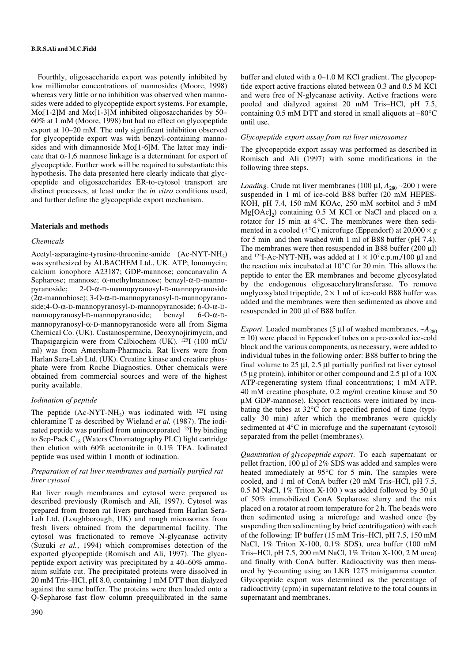# **B.R.S.Ali and M.C.Field**

Fourthly, oligosaccharide export was potently inhibited by low millimolar concentrations of mannosides (Moore, 1998) whereas very little or no inhibition was observed when mannosides were added to glycopeptide export systems. For example, Mα[1-2]M and Mα[1-3]M inhibited oligosaccharides by 50– 60% at 1 mM (Moore, 1998) but had no effect on glycopeptide export at 10–20 mM. The only significant inhibition observed for glycopeptide export was with benzyl-containing mannosides and with dimannoside  $M\alpha$ [1-6]M. The latter may indicate that  $\alpha$ -1,6 mannose linkage is a determinant for export of glycopeptide. Further work will be required to substantiate this hypothesis. The data presented here clearly indicate that glycopeptide and oligosaccharides ER-to-cytosol transport are distinct processes, at least under the *in vitro* conditions used, and further define the glycopeptide export mechanism.

#### **Materials and methods**

#### *Chemicals*

Acetyl-asparagine-tyrosine-threonine-amide  $(Ac-NYT-NH<sub>2</sub>)$ was synthesized by ALBACHEM Ltd., UK. ATP; Ionomycin; calcium ionophore A23187; GDP-mannose; concanavalin A Sepharose; mannose; α-methylmannose; benzyl-α-D-mannopyranoside; 2-O-α-D-mannopyranosyl-D-mannopyranoside (2α-mannobiose); 3-O-α-D-mannopyranosyl-D-mannopyranoside;4-O-α-D-mannopyranosyl-D-mannopyranoside; 6-O-α-Dmannopyranosyl-D-mannopyranoside; benzyl 6-O-α-Dmannopyranosyl-α-D-mannopyranoside were all from Sigma Chemical Co. (UK). Castanospermine, Deoxynojirimycin, and Thapsigargicin were from Calbiochem (UK). 125I (100 mCi/ ml) was from Amersham-Pharmacia. Rat livers were from Harlan Sera-Lab Ltd. (UK). Creatine kinase and creatine phosphate were from Roche Diagnostics. Other chemicals were obtained from commercial sources and were of the highest purity available.

# *Iodination of peptide*

The peptide  $(Ac-NYT-NH<sub>2</sub>)$  was iodinated with <sup>125</sup>I using chloramine T as described by Wieland *et al.* (1987). The iodinated peptide was purified from unincorporated 125I by binding to Sep-Pack C<sub>18</sub> (Waters Chromatography PLC) light cartridge then elution with 60% acetonitrile in 0.1% TFA. Iodinated peptide was used within 1 month of iodination.

## *Preparation of rat liver membranes and partially purified rat liver cytosol*

Rat liver rough membranes and cytosol were prepared as described previously (Romisch and Ali, 1997). Cytosol was prepared from frozen rat livers purchased from Harlan Sera-Lab Ltd. (Loughborough, UK) and rough microsomes from fresh livers obtained from the departmental facility. The cytosol was fractionated to remove N-glycanase activity (Suzuki *et al.*, 1994) which compromises detection of the exported glycopeptide (Romisch and Ali, 1997). The glycopeptide export activity was precipitated by a 40–60% ammonium sulfate cut. The precipitated proteins were dissolved in 20 mM Tris–HCl, pH 8.0, containing 1 mM DTT then dialyzed against the same buffer. The proteins were then loaded onto a Q-Sepharose fast flow column preequilibrated in the same buffer and eluted with a 0–1.0 M KCl gradient. The glycopeptide export active fractions eluted between 0.3 and 0.5 M KCl and were free of N-glycanase activity. Active fractions were pooled and dialyzed against 20 mM Tris–HCl, pH 7.5, containing 0.5 mM DTT and stored in small aliquots at –80°C until use.

## *Glycopeptide export assay from rat liver microsomes*

The glycopeptide export assay was performed as described in Romisch and Ali (1997) with some modifications in the following three steps.

*Loading*. Crude rat liver membranes (100 μl, *A*<sub>280</sub> ∼200 ) were suspended in 1 ml of ice-cold B88 buffer (20 mM HEPES-KOH, pH 7.4, 150 mM KOAc, 250 mM sorbitol and 5 mM  $Mg[OAc]_2$ ) containing 0.5 M KCl or NaCl and placed on a rotator for 15 min at 4°C. The membranes were then sedimented in a cooled (4 $\degree$ C) microfuge (Eppendorf) at 20,000  $\times g$ for 5 min and then washed with 1 ml of B88 buffer (pH 7.4). The membranes were then resuspended in B88 buffer  $(200 \mu l)$ and <sup>125</sup>I-Ac-NYT-NH<sub>2</sub> was added at  $1 \times 10^7$  c.p.m./100 µl and the reaction mix incubated at 10°C for 20 min. This allows the peptide to enter the ER membranes and become glycosylated by the endogenous oligosaccharyltransferase. To remove unglycosylated tripeptide,  $2 \times 1$  ml of ice-cold B88 buffer was added and the membranes were then sedimented as above and resuspended in 200 µl of B88 buffer.

*Export*. Loaded membranes (5 µl of washed membranes, ∼*A*<sub>280</sub> = 10) were placed in Eppendorf tubes on a pre-cooled ice-cold block and the various components, as necessary, were added to individual tubes in the following order: B88 buffer to bring the final volume to  $25 \mu$ l,  $2.5 \mu$ l partially purified rat liver cytosol (5  $\mu$ g protein), inhibitor or other compound and 2.5  $\mu$ l of a 10X ATP-regenerating system (final concentrations; 1 mM ATP, 40 mM creatine phosphate, 0.2 mg/ml creatine kinase and 50 µM GDP-mannose). Export reactions were initiated by incubating the tubes at 32°C for a specified period of time (typically 30 min) after which the membranes were quickly sedimented at 4°C in microfuge and the supernatant (cytosol) separated from the pellet (membranes).

*Quantitation of glycopeptide export*. To each supernatant or pellet fraction, 100 µl of 2% SDS was added and samples were heated immediately at 95°C for 5 min. The samples were cooled, and 1 ml of ConA buffer (20 mM Tris–HCl, pH 7.5, 0.5 M NaCl,  $1\%$  Triton X-100 ) was added followed by 50 µl of 50% immobilized ConA Sepharose slurry and the mix placed on a rotator at room temperature for 2 h. The beads were then sedimented using a microfuge and washed once (by suspending then sedimenting by brief centrifugation) with each of the following: IP buffer (15 mM Tris–HCl, pH 7.5, 150 mM NaCl, 1% Triton X-100, 0.1% SDS), urea buffer (100 mM Tris–HCl, pH 7.5, 200 mM NaCl, 1% Triton X-100, 2 M urea) and finally with ConA buffer. Radioactivity was then measured by γ-counting using an LKB 1275 minigamma counter. Glycopeptide export was determined as the percentage of radioactivity (cpm) in supernatant relative to the total counts in supernatant and membranes.